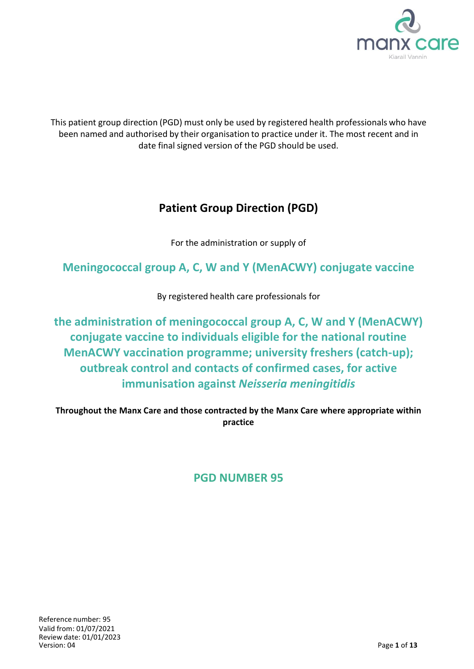

This patient group direction (PGD) must only be used by registered health professionals who have been named and authorised by their organisation to practice under it. The most recent and in date final signed version of the PGD should be used.

# **Patient Group Direction (PGD)**

For the administration or supply of

**Meningococcal group A, C, W and Y (MenACWY) conjugate vaccine** 

By registered health care professionals for

**the administration of meningococcal group A, C, W and Y (MenACWY) conjugate vaccine to individuals eligible for the national routine MenACWY vaccination programme; university freshers (catch-up); outbreak control and contacts of confirmed cases, for active immunisation against** *Neisseria meningitidis*

**Throughout the Manx Care and those contracted by the Manx Care where appropriate within practice**

# **PGD NUMBER 95**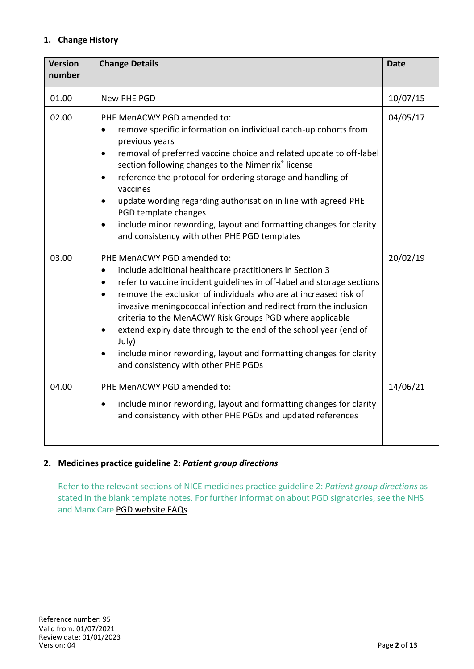# **1. Change History**

| <b>Version</b><br>number | <b>Change Details</b>                                                                                                                                                                                                                                                                                                                                                                                                                                                                                                                                                           | <b>Date</b> |
|--------------------------|---------------------------------------------------------------------------------------------------------------------------------------------------------------------------------------------------------------------------------------------------------------------------------------------------------------------------------------------------------------------------------------------------------------------------------------------------------------------------------------------------------------------------------------------------------------------------------|-------------|
| 01.00                    | New PHE PGD                                                                                                                                                                                                                                                                                                                                                                                                                                                                                                                                                                     | 10/07/15    |
| 02.00                    | PHE MenACWY PGD amended to:<br>remove specific information on individual catch-up cohorts from<br>previous years<br>removal of preferred vaccine choice and related update to off-label<br>$\bullet$<br>section following changes to the Nimenrix® license<br>reference the protocol for ordering storage and handling of<br>$\bullet$<br>vaccines<br>update wording regarding authorisation in line with agreed PHE<br>$\bullet$<br>PGD template changes<br>include minor rewording, layout and formatting changes for clarity<br>and consistency with other PHE PGD templates | 04/05/17    |
| 03.00                    | PHE MenACWY PGD amended to:<br>include additional healthcare practitioners in Section 3<br>refer to vaccine incident guidelines in off-label and storage sections<br>remove the exclusion of individuals who are at increased risk of<br>invasive meningococcal infection and redirect from the inclusion<br>criteria to the MenACWY Risk Groups PGD where applicable<br>extend expiry date through to the end of the school year (end of<br>$\bullet$<br>July)<br>include minor rewording, layout and formatting changes for clarity<br>and consistency with other PHE PGDs    | 20/02/19    |
| 04.00                    | PHE MenACWY PGD amended to:<br>include minor rewording, layout and formatting changes for clarity<br>$\bullet$<br>and consistency with other PHE PGDs and updated references                                                                                                                                                                                                                                                                                                                                                                                                    | 14/06/21    |
|                          |                                                                                                                                                                                                                                                                                                                                                                                                                                                                                                                                                                                 |             |

# **2. Medicines practice guideline 2:** *Patient group directions*

Refer to the relevant sections of NICE medicines practice guideline 2: *Patient group directions* as stated in the blank template notes. For further information about PGD signatories, see the NHS and Manx Care PGD website FAQs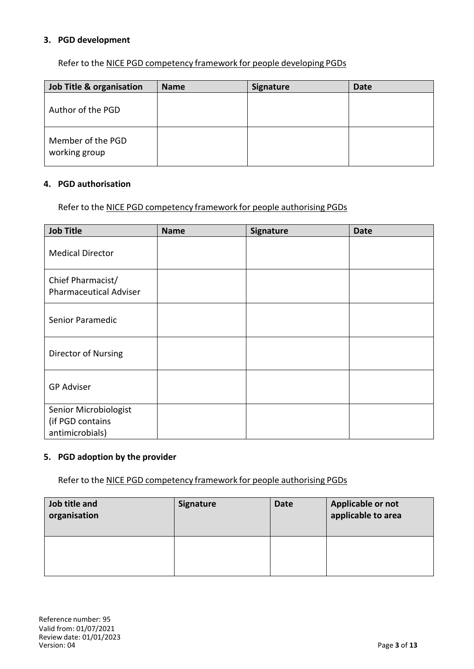#### **3. PGD development**

Refer to the NICE PGD competency framework for people developing PGDs

| Job Title & organisation           | <b>Name</b> | <b>Signature</b> | <b>Date</b> |
|------------------------------------|-------------|------------------|-------------|
| Author of the PGD                  |             |                  |             |
| Member of the PGD<br>working group |             |                  |             |

#### **4. PGD authorisation**

Refer to the NICE PGD competency framework for people authorising PGDs

| <b>Job Title</b>                                             | <b>Name</b> | Signature | <b>Date</b> |
|--------------------------------------------------------------|-------------|-----------|-------------|
| <b>Medical Director</b>                                      |             |           |             |
| Chief Pharmacist/<br><b>Pharmaceutical Adviser</b>           |             |           |             |
| Senior Paramedic                                             |             |           |             |
| Director of Nursing                                          |             |           |             |
| <b>GP Adviser</b>                                            |             |           |             |
| Senior Microbiologist<br>(if PGD contains<br>antimicrobials) |             |           |             |

### **5. PGD adoption by the provider**

Refer to the NICE PGD competency framework for people authorising PGDs

| Job title and<br>organisation | <b>Signature</b> | <b>Date</b> | Applicable or not<br>applicable to area |
|-------------------------------|------------------|-------------|-----------------------------------------|
|                               |                  |             |                                         |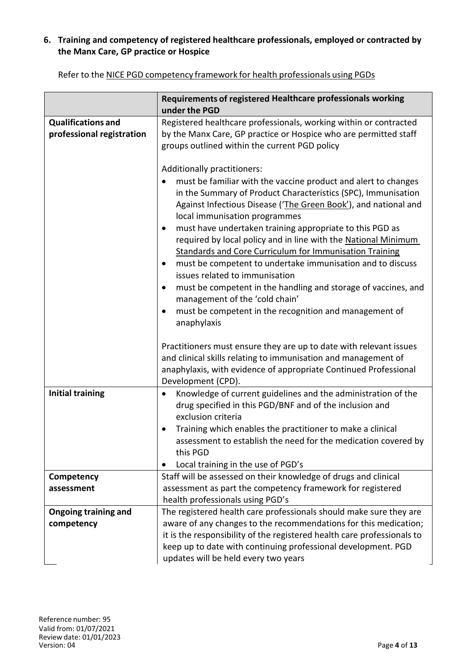# **6. Training and competency of registered healthcare professionals, employed or contracted by the Manx Care, GP practice or Hospice**

|                                                        | Requirements of registered Healthcare professionals working<br>under the PGD                                                                                                                                                                                                                                                                                                                                                                                                                                                                                                                                                                                                                                                                                                                |
|--------------------------------------------------------|---------------------------------------------------------------------------------------------------------------------------------------------------------------------------------------------------------------------------------------------------------------------------------------------------------------------------------------------------------------------------------------------------------------------------------------------------------------------------------------------------------------------------------------------------------------------------------------------------------------------------------------------------------------------------------------------------------------------------------------------------------------------------------------------|
| <b>Qualifications and</b><br>professional registration | Registered healthcare professionals, working within or contracted<br>by the Manx Care, GP practice or Hospice who are permitted staff<br>groups outlined within the current PGD policy                                                                                                                                                                                                                                                                                                                                                                                                                                                                                                                                                                                                      |
|                                                        | Additionally practitioners:<br>must be familiar with the vaccine product and alert to changes<br>in the Summary of Product Characteristics (SPC), Immunisation<br>Against Infectious Disease ('The Green Book'), and national and<br>local immunisation programmes<br>must have undertaken training appropriate to this PGD as<br>$\bullet$<br>required by local policy and in line with the National Minimum<br><b>Standards and Core Curriculum for Immunisation Training</b><br>must be competent to undertake immunisation and to discuss<br>٠<br>issues related to immunisation<br>must be competent in the handling and storage of vaccines, and<br>$\bullet$<br>management of the 'cold chain'<br>must be competent in the recognition and management of<br>$\bullet$<br>anaphylaxis |
|                                                        | Practitioners must ensure they are up to date with relevant issues<br>and clinical skills relating to immunisation and management of<br>anaphylaxis, with evidence of appropriate Continued Professional<br>Development (CPD).                                                                                                                                                                                                                                                                                                                                                                                                                                                                                                                                                              |
| <b>Initial training</b>                                | Knowledge of current guidelines and the administration of the<br>$\bullet$<br>drug specified in this PGD/BNF and of the inclusion and<br>exclusion criteria<br>Training which enables the practitioner to make a clinical<br>٠<br>assessment to establish the need for the medication covered by<br>this PGD<br>Local training in the use of PGD's<br>$\bullet$                                                                                                                                                                                                                                                                                                                                                                                                                             |
| Competency<br>assessment                               | Staff will be assessed on their knowledge of drugs and clinical<br>assessment as part the competency framework for registered<br>health professionals using PGD's                                                                                                                                                                                                                                                                                                                                                                                                                                                                                                                                                                                                                           |
| <b>Ongoing training and</b><br>competency              | The registered health care professionals should make sure they are<br>aware of any changes to the recommendations for this medication;<br>it is the responsibility of the registered health care professionals to<br>keep up to date with continuing professional development. PGD<br>updates will be held every two years                                                                                                                                                                                                                                                                                                                                                                                                                                                                  |

Refer to the NICE PGD competency framework for health professionals using PGDs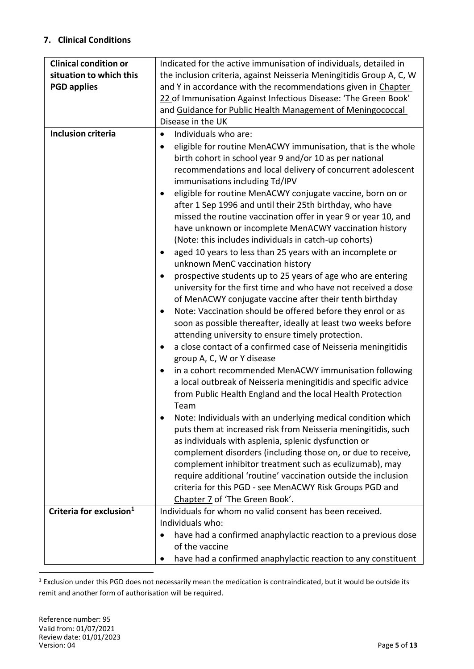# **7. Clinical Conditions**

| <b>Clinical condition or</b>        | Indicated for the active immunisation of individuals, detailed in                                                                                                                                                                                                                                                                                                                                                                                                                                                                                                                                                                                                                                                                                                                                                                                                                                                                                                                                                                                                                                                                                                                                                                                                                                                                                                                                                                                                                                                                                                                                                                                     |
|-------------------------------------|-------------------------------------------------------------------------------------------------------------------------------------------------------------------------------------------------------------------------------------------------------------------------------------------------------------------------------------------------------------------------------------------------------------------------------------------------------------------------------------------------------------------------------------------------------------------------------------------------------------------------------------------------------------------------------------------------------------------------------------------------------------------------------------------------------------------------------------------------------------------------------------------------------------------------------------------------------------------------------------------------------------------------------------------------------------------------------------------------------------------------------------------------------------------------------------------------------------------------------------------------------------------------------------------------------------------------------------------------------------------------------------------------------------------------------------------------------------------------------------------------------------------------------------------------------------------------------------------------------------------------------------------------------|
| situation to which this             | the inclusion criteria, against Neisseria Meningitidis Group A, C, W                                                                                                                                                                                                                                                                                                                                                                                                                                                                                                                                                                                                                                                                                                                                                                                                                                                                                                                                                                                                                                                                                                                                                                                                                                                                                                                                                                                                                                                                                                                                                                                  |
| <b>PGD applies</b>                  | and Y in accordance with the recommendations given in Chapter                                                                                                                                                                                                                                                                                                                                                                                                                                                                                                                                                                                                                                                                                                                                                                                                                                                                                                                                                                                                                                                                                                                                                                                                                                                                                                                                                                                                                                                                                                                                                                                         |
|                                     | 22 of Immunisation Against Infectious Disease: 'The Green Book'                                                                                                                                                                                                                                                                                                                                                                                                                                                                                                                                                                                                                                                                                                                                                                                                                                                                                                                                                                                                                                                                                                                                                                                                                                                                                                                                                                                                                                                                                                                                                                                       |
|                                     | and Guidance for Public Health Management of Meningococcal                                                                                                                                                                                                                                                                                                                                                                                                                                                                                                                                                                                                                                                                                                                                                                                                                                                                                                                                                                                                                                                                                                                                                                                                                                                                                                                                                                                                                                                                                                                                                                                            |
|                                     | Disease in the UK                                                                                                                                                                                                                                                                                                                                                                                                                                                                                                                                                                                                                                                                                                                                                                                                                                                                                                                                                                                                                                                                                                                                                                                                                                                                                                                                                                                                                                                                                                                                                                                                                                     |
| <b>Inclusion criteria</b>           | Individuals who are:<br>$\bullet$                                                                                                                                                                                                                                                                                                                                                                                                                                                                                                                                                                                                                                                                                                                                                                                                                                                                                                                                                                                                                                                                                                                                                                                                                                                                                                                                                                                                                                                                                                                                                                                                                     |
|                                     | eligible for routine MenACWY immunisation, that is the whole<br>$\bullet$<br>birth cohort in school year 9 and/or 10 as per national<br>recommendations and local delivery of concurrent adolescent<br>immunisations including Td/IPV<br>eligible for routine MenACWY conjugate vaccine, born on or<br>$\bullet$<br>after 1 Sep 1996 and until their 25th birthday, who have<br>missed the routine vaccination offer in year 9 or year 10, and<br>have unknown or incomplete MenACWY vaccination history<br>(Note: this includes individuals in catch-up cohorts)<br>aged 10 years to less than 25 years with an incomplete or<br>$\bullet$<br>unknown MenC vaccination history<br>prospective students up to 25 years of age who are entering<br>university for the first time and who have not received a dose<br>of MenACWY conjugate vaccine after their tenth birthday<br>Note: Vaccination should be offered before they enrol or as<br>$\bullet$<br>soon as possible thereafter, ideally at least two weeks before<br>attending university to ensure timely protection.<br>a close contact of a confirmed case of Neisseria meningitidis<br>$\bullet$<br>group A, C, W or Y disease<br>in a cohort recommended MenACWY immunisation following<br>a local outbreak of Neisseria meningitidis and specific advice<br>from Public Health England and the local Health Protection<br>Team<br>Note: Individuals with an underlying medical condition which<br>puts them at increased risk from Neisseria meningitidis, such<br>as individuals with asplenia, splenic dysfunction or<br>complement disorders (including those on, or due to receive, |
|                                     | complement inhibitor treatment such as eculizumab), may                                                                                                                                                                                                                                                                                                                                                                                                                                                                                                                                                                                                                                                                                                                                                                                                                                                                                                                                                                                                                                                                                                                                                                                                                                                                                                                                                                                                                                                                                                                                                                                               |
|                                     | require additional 'routine' vaccination outside the inclusion                                                                                                                                                                                                                                                                                                                                                                                                                                                                                                                                                                                                                                                                                                                                                                                                                                                                                                                                                                                                                                                                                                                                                                                                                                                                                                                                                                                                                                                                                                                                                                                        |
|                                     | criteria for this PGD - see MenACWY Risk Groups PGD and                                                                                                                                                                                                                                                                                                                                                                                                                                                                                                                                                                                                                                                                                                                                                                                                                                                                                                                                                                                                                                                                                                                                                                                                                                                                                                                                                                                                                                                                                                                                                                                               |
|                                     | Chapter 7 of 'The Green Book'.                                                                                                                                                                                                                                                                                                                                                                                                                                                                                                                                                                                                                                                                                                                                                                                                                                                                                                                                                                                                                                                                                                                                                                                                                                                                                                                                                                                                                                                                                                                                                                                                                        |
| Criteria for exclusion <sup>1</sup> | Individuals for whom no valid consent has been received.                                                                                                                                                                                                                                                                                                                                                                                                                                                                                                                                                                                                                                                                                                                                                                                                                                                                                                                                                                                                                                                                                                                                                                                                                                                                                                                                                                                                                                                                                                                                                                                              |
|                                     | Individuals who:                                                                                                                                                                                                                                                                                                                                                                                                                                                                                                                                                                                                                                                                                                                                                                                                                                                                                                                                                                                                                                                                                                                                                                                                                                                                                                                                                                                                                                                                                                                                                                                                                                      |
|                                     | have had a confirmed anaphylactic reaction to a previous dose                                                                                                                                                                                                                                                                                                                                                                                                                                                                                                                                                                                                                                                                                                                                                                                                                                                                                                                                                                                                                                                                                                                                                                                                                                                                                                                                                                                                                                                                                                                                                                                         |
|                                     | of the vaccine                                                                                                                                                                                                                                                                                                                                                                                                                                                                                                                                                                                                                                                                                                                                                                                                                                                                                                                                                                                                                                                                                                                                                                                                                                                                                                                                                                                                                                                                                                                                                                                                                                        |
|                                     | have had a confirmed anaphylactic reaction to any constituent<br>$\bullet$                                                                                                                                                                                                                                                                                                                                                                                                                                                                                                                                                                                                                                                                                                                                                                                                                                                                                                                                                                                                                                                                                                                                                                                                                                                                                                                                                                                                                                                                                                                                                                            |

 $1$  Exclusion under this PGD does not necessarily mean the medication is contraindicated, but it would be outside its remit and another form of authorisation will be required.

 $\ddot{\phantom{a}}$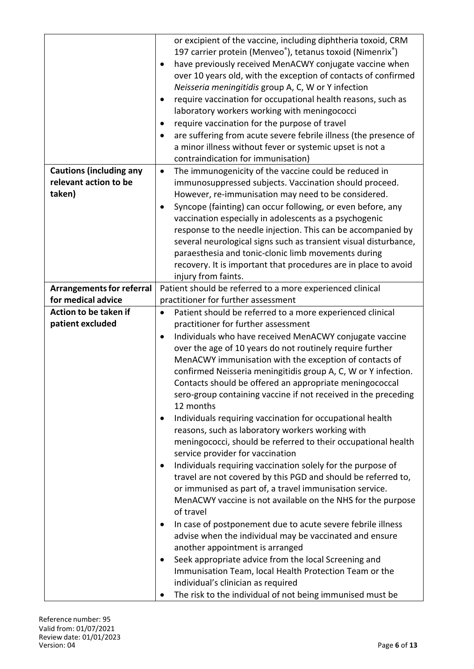|                                  | or excipient of the vaccine, including diphtheria toxoid, CRM<br>197 carrier protein (Menveo <sup>®</sup> ), tetanus toxoid (Nimenrix <sup>®</sup> ) |
|----------------------------------|------------------------------------------------------------------------------------------------------------------------------------------------------|
|                                  | have previously received MenACWY conjugate vaccine when<br>٠                                                                                         |
|                                  | over 10 years old, with the exception of contacts of confirmed<br>Neisseria meningitidis group A, C, W or Y infection                                |
|                                  | require vaccination for occupational health reasons, such as<br>$\bullet$                                                                            |
|                                  | laboratory workers working with meningococci                                                                                                         |
|                                  | require vaccination for the purpose of travel<br>٠                                                                                                   |
|                                  | are suffering from acute severe febrile illness (the presence of<br>$\bullet$                                                                        |
|                                  | a minor illness without fever or systemic upset is not a                                                                                             |
|                                  | contraindication for immunisation)                                                                                                                   |
| <b>Cautions (including any</b>   | The immunogenicity of the vaccine could be reduced in<br>$\bullet$                                                                                   |
| relevant action to be            | immunosuppressed subjects. Vaccination should proceed.                                                                                               |
| taken)                           | However, re-immunisation may need to be considered.                                                                                                  |
|                                  | Syncope (fainting) can occur following, or even before, any                                                                                          |
|                                  | vaccination especially in adolescents as a psychogenic                                                                                               |
|                                  | response to the needle injection. This can be accompanied by                                                                                         |
|                                  | several neurological signs such as transient visual disturbance,                                                                                     |
|                                  | paraesthesia and tonic-clonic limb movements during                                                                                                  |
|                                  | recovery. It is important that procedures are in place to avoid                                                                                      |
|                                  | injury from faints.                                                                                                                                  |
| <b>Arrangements for referral</b> | Patient should be referred to a more experienced clinical                                                                                            |
| for medical advice               | practitioner for further assessment                                                                                                                  |
| Action to be taken if            | Patient should be referred to a more experienced clinical<br>$\bullet$                                                                               |
| patient excluded                 | practitioner for further assessment                                                                                                                  |
|                                  | Individuals who have received MenACWY conjugate vaccine<br>$\bullet$                                                                                 |
|                                  | over the age of 10 years do not routinely require further                                                                                            |
|                                  | MenACWY immunisation with the exception of contacts of                                                                                               |
|                                  | confirmed Neisseria meningitidis group A, C, W or Y infection.                                                                                       |
|                                  | Contacts should be offered an appropriate meningococcal<br>sero-group containing vaccine if not received in the preceding                            |
|                                  | 12 months                                                                                                                                            |
|                                  | Individuals requiring vaccination for occupational health<br>$\bullet$                                                                               |
|                                  | reasons, such as laboratory workers working with                                                                                                     |
|                                  | meningococci, should be referred to their occupational health                                                                                        |
|                                  | service provider for vaccination                                                                                                                     |
|                                  | Individuals requiring vaccination solely for the purpose of<br>$\bullet$                                                                             |
|                                  | travel are not covered by this PGD and should be referred to,                                                                                        |
|                                  | or immunised as part of, a travel immunisation service.                                                                                              |
|                                  | MenACWY vaccine is not available on the NHS for the purpose<br>of travel                                                                             |
|                                  | In case of postponement due to acute severe febrile illness<br>٠                                                                                     |
|                                  | advise when the individual may be vaccinated and ensure                                                                                              |
|                                  | another appointment is arranged                                                                                                                      |
|                                  | Seek appropriate advice from the local Screening and<br>٠                                                                                            |
|                                  | Immunisation Team, local Health Protection Team or the<br>individual's clinician as required                                                         |
|                                  | The risk to the individual of not being immunised must be                                                                                            |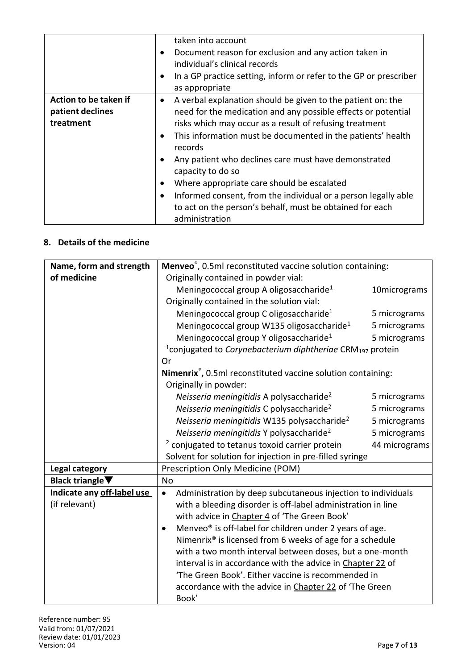|                       | taken into account                                                             |
|-----------------------|--------------------------------------------------------------------------------|
|                       | Document reason for exclusion and any action taken in<br>$\bullet$             |
|                       | individual's clinical records                                                  |
|                       | In a GP practice setting, inform or refer to the GP or prescriber<br>$\bullet$ |
|                       | as appropriate                                                                 |
| Action to be taken if | A verbal explanation should be given to the patient on: the<br>$\bullet$       |
| patient declines      | need for the medication and any possible effects or potential                  |
| treatment             | risks which may occur as a result of refusing treatment                        |
|                       | This information must be documented in the patients' health<br>$\bullet$       |
|                       | records                                                                        |
|                       | Any patient who declines care must have demonstrated<br>$\bullet$              |
|                       | capacity to do so                                                              |
|                       | Where appropriate care should be escalated<br>$\bullet$                        |
|                       | Informed consent, from the individual or a person legally able<br>$\bullet$    |
|                       | to act on the person's behalf, must be obtained for each                       |
|                       | administration                                                                 |

# **8. Details of the medicine**

| Name, form and strength             | Menveo®, 0.5ml reconstituted vaccine solution containing:                                |              |
|-------------------------------------|------------------------------------------------------------------------------------------|--------------|
| of medicine                         | Originally contained in powder vial:                                                     |              |
|                                     | Meningococcal group A oligosaccharide <sup>1</sup><br>10micrograms                       |              |
|                                     | Originally contained in the solution vial:                                               |              |
|                                     | Meningococcal group C oligosaccharide <sup>1</sup>                                       | 5 micrograms |
|                                     | Meningococcal group W135 oligosaccharide <sup>1</sup>                                    | 5 micrograms |
|                                     | Meningococcal group Y oligosaccharide <sup>1</sup>                                       | 5 micrograms |
|                                     | <sup>1</sup> conjugated to <i>Corynebacterium diphtheriae</i> CRM <sub>197</sub> protein |              |
|                                     | Or                                                                                       |              |
|                                     | Nimenrix®, 0.5ml reconstituted vaccine solution containing:                              |              |
|                                     | Originally in powder:                                                                    |              |
|                                     | Neisseria meningitidis A polysaccharide <sup>2</sup><br>5 micrograms                     |              |
|                                     | Neisseria meningitidis C polysaccharide <sup>2</sup><br>5 micrograms                     |              |
|                                     | Neisseria meningitidis W135 polysaccharide <sup>2</sup><br>5 micrograms                  |              |
|                                     | Neisseria meningitidis Y polysaccharide <sup>2</sup><br>5 micrograms                     |              |
|                                     | <sup>2</sup> conjugated to tetanus toxoid carrier protein<br>44 micrograms               |              |
|                                     | Solvent for solution for injection in pre-filled syringe                                 |              |
| <b>Legal category</b>               | Prescription Only Medicine (POM)                                                         |              |
| Black triangle $\blacktriangledown$ | <b>No</b>                                                                                |              |
| Indicate any off-label use          | Administration by deep subcutaneous injection to individuals<br>$\bullet$                |              |
| (if relevant)                       | with a bleeding disorder is off-label administration in line                             |              |
|                                     | with advice in Chapter 4 of 'The Green Book'                                             |              |
|                                     | Menveo <sup>®</sup> is off-label for children under 2 years of age.<br>$\bullet$         |              |
|                                     | Nimenrix <sup>®</sup> is licensed from 6 weeks of age for a schedule                     |              |
|                                     | with a two month interval between doses, but a one-month                                 |              |
|                                     | interval is in accordance with the advice in Chapter 22 of                               |              |
|                                     | 'The Green Book'. Either vaccine is recommended in                                       |              |
|                                     | accordance with the advice in Chapter 22 of 'The Green                                   |              |
|                                     | Book'                                                                                    |              |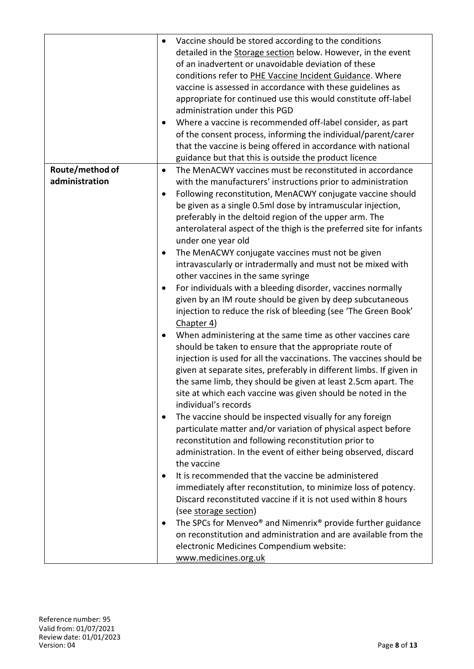|                 | Vaccine should be stored according to the conditions<br>$\bullet$                        |
|-----------------|------------------------------------------------------------------------------------------|
|                 | detailed in the Storage section below. However, in the event                             |
|                 | of an inadvertent or unavoidable deviation of these                                      |
|                 | conditions refer to PHE Vaccine Incident Guidance. Where                                 |
|                 | vaccine is assessed in accordance with these guidelines as                               |
|                 | appropriate for continued use this would constitute off-label                            |
|                 | administration under this PGD                                                            |
|                 | Where a vaccine is recommended off-label consider, as part<br>$\bullet$                  |
|                 | of the consent process, informing the individual/parent/carer                            |
|                 | that the vaccine is being offered in accordance with national                            |
|                 | guidance but that this is outside the product licence                                    |
| Route/method of | The MenACWY vaccines must be reconstituted in accordance<br>$\bullet$                    |
| administration  | with the manufacturers' instructions prior to administration                             |
|                 | Following reconstitution, MenACWY conjugate vaccine should<br>$\bullet$                  |
|                 | be given as a single 0.5ml dose by intramuscular injection,                              |
|                 | preferably in the deltoid region of the upper arm. The                                   |
|                 | anterolateral aspect of the thigh is the preferred site for infants                      |
|                 | under one year old                                                                       |
|                 | The MenACWY conjugate vaccines must not be given                                         |
|                 | ٠                                                                                        |
|                 | intravascularly or intradermally and must not be mixed with                              |
|                 | other vaccines in the same syringe                                                       |
|                 | For individuals with a bleeding disorder, vaccines normally<br>٠                         |
|                 | given by an IM route should be given by deep subcutaneous                                |
|                 | injection to reduce the risk of bleeding (see 'The Green Book'                           |
|                 | Chapter 4)                                                                               |
|                 | When administering at the same time as other vaccines care<br>٠                          |
|                 | should be taken to ensure that the appropriate route of                                  |
|                 | injection is used for all the vaccinations. The vaccines should be                       |
|                 | given at separate sites, preferably in different limbs. If given in                      |
|                 | the same limb, they should be given at least 2.5cm apart. The                            |
|                 | site at which each vaccine was given should be noted in the                              |
|                 | individual's records                                                                     |
|                 | The vaccine should be inspected visually for any foreign<br>٠                            |
|                 | particulate matter and/or variation of physical aspect before                            |
|                 | reconstitution and following reconstitution prior to                                     |
|                 | administration. In the event of either being observed, discard                           |
|                 | the vaccine                                                                              |
|                 | It is recommended that the vaccine be administered<br>٠                                  |
|                 | immediately after reconstitution, to minimize loss of potency.                           |
|                 | Discard reconstituted vaccine if it is not used within 8 hours                           |
|                 | (see storage section)                                                                    |
|                 | The SPCs for Menveo <sup>®</sup> and Nimenrix <sup>®</sup> provide further guidance<br>٠ |
|                 | on reconstitution and administration and are available from the                          |
|                 | electronic Medicines Compendium website:                                                 |
|                 | www.medicines.org.uk                                                                     |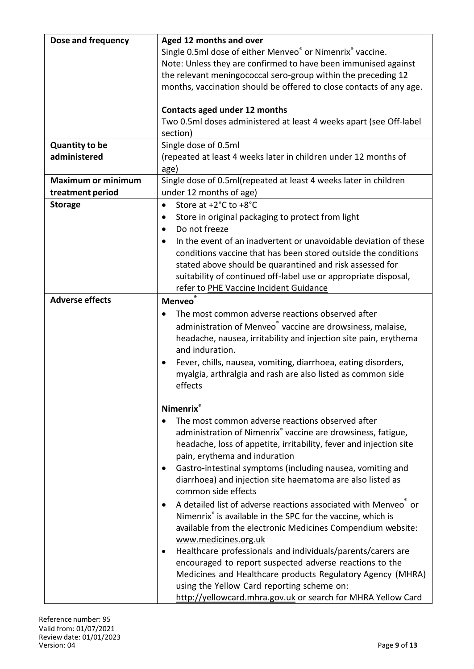| Dose and frequency        | Aged 12 months and over                                                             |  |  |
|---------------------------|-------------------------------------------------------------------------------------|--|--|
|                           | Single 0.5ml dose of either Menveo® or Nimenrix® vaccine.                           |  |  |
|                           | Note: Unless they are confirmed to have been immunised against                      |  |  |
|                           | the relevant meningococcal sero-group within the preceding 12                       |  |  |
|                           | months, vaccination should be offered to close contacts of any age.                 |  |  |
|                           |                                                                                     |  |  |
|                           | Contacts aged under 12 months                                                       |  |  |
|                           | Two 0.5ml doses administered at least 4 weeks apart (see Off-label                  |  |  |
|                           | section)                                                                            |  |  |
| <b>Quantity to be</b>     | Single dose of 0.5ml                                                                |  |  |
| administered              | (repeated at least 4 weeks later in children under 12 months of                     |  |  |
|                           | age)                                                                                |  |  |
| <b>Maximum or minimum</b> | Single dose of 0.5ml(repeated at least 4 weeks later in children                    |  |  |
| treatment period          | under 12 months of age)                                                             |  |  |
| <b>Storage</b>            | Store at +2°C to +8°C<br>$\bullet$                                                  |  |  |
|                           | Store in original packaging to protect from light<br>٠                              |  |  |
|                           | Do not freeze<br>$\bullet$                                                          |  |  |
|                           | In the event of an inadvertent or unavoidable deviation of these                    |  |  |
|                           | conditions vaccine that has been stored outside the conditions                      |  |  |
|                           | stated above should be quarantined and risk assessed for                            |  |  |
|                           | suitability of continued off-label use or appropriate disposal,                     |  |  |
|                           | refer to PHE Vaccine Incident Guidance                                              |  |  |
| <b>Adverse effects</b>    | <b>Menveo</b>                                                                       |  |  |
|                           | The most common adverse reactions observed after                                    |  |  |
|                           | administration of Menveo vaccine are drowsiness, malaise,                           |  |  |
|                           |                                                                                     |  |  |
|                           | headache, nausea, irritability and injection site pain, erythema<br>and induration. |  |  |
|                           | Fever, chills, nausea, vomiting, diarrhoea, eating disorders,                       |  |  |
|                           |                                                                                     |  |  |
|                           | myalgia, arthralgia and rash are also listed as common side<br>effects              |  |  |
|                           |                                                                                     |  |  |
|                           | <b>Nimenrix</b> ®                                                                   |  |  |
|                           | The most common adverse reactions observed after                                    |  |  |
|                           | administration of Nimenrix® vaccine are drowsiness, fatigue,                        |  |  |
|                           | headache, loss of appetite, irritability, fever and injection site                  |  |  |
|                           | pain, erythema and induration                                                       |  |  |
|                           | Gastro-intestinal symptoms (including nausea, vomiting and<br>$\bullet$             |  |  |
|                           | diarrhoea) and injection site haematoma are also listed as                          |  |  |
|                           | common side effects                                                                 |  |  |
|                           | A detailed list of adverse reactions associated with Menveo or                      |  |  |
|                           | Nimenrix® is available in the SPC for the vaccine, which is                         |  |  |
|                           | available from the electronic Medicines Compendium website:                         |  |  |
|                           | www.medicines.org.uk                                                                |  |  |
|                           | Healthcare professionals and individuals/parents/carers are                         |  |  |
|                           | encouraged to report suspected adverse reactions to the                             |  |  |
|                           | Medicines and Healthcare products Regulatory Agency (MHRA)                          |  |  |
|                           | using the Yellow Card reporting scheme on:                                          |  |  |
|                           |                                                                                     |  |  |
|                           | http://yellowcard.mhra.gov.uk or search for MHRA Yellow Card                        |  |  |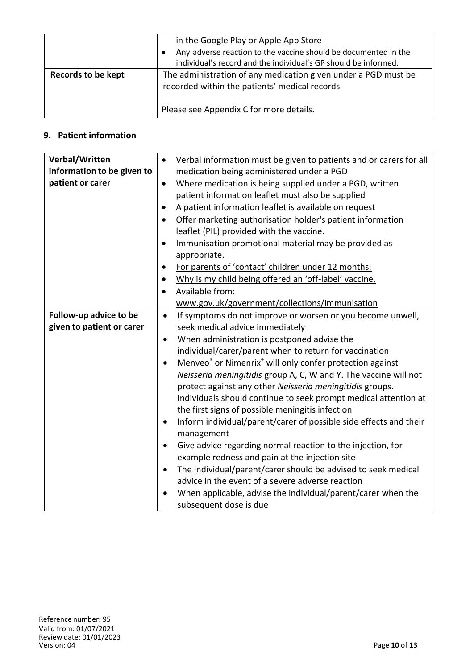|                           | in the Google Play or Apple App Store<br>Any adverse reaction to the vaccine should be documented in the        |  |
|---------------------------|-----------------------------------------------------------------------------------------------------------------|--|
|                           | individual's record and the individual's GP should be informed.                                                 |  |
| <b>Records to be kept</b> | The administration of any medication given under a PGD must be<br>recorded within the patients' medical records |  |
|                           | Please see Appendix C for more details.                                                                         |  |

# **9. Patient information**

| Verbal/Written             | $\bullet$ | Verbal information must be given to patients and or carers for all               |
|----------------------------|-----------|----------------------------------------------------------------------------------|
| information to be given to |           | medication being administered under a PGD                                        |
| patient or carer           | $\bullet$ | Where medication is being supplied under a PGD, written                          |
|                            |           | patient information leaflet must also be supplied                                |
|                            | ٠         | A patient information leaflet is available on request                            |
|                            | $\bullet$ | Offer marketing authorisation holder's patient information                       |
|                            |           | leaflet (PIL) provided with the vaccine.                                         |
|                            |           | Immunisation promotional material may be provided as                             |
|                            |           | appropriate.                                                                     |
|                            | $\bullet$ | For parents of 'contact' children under 12 months:                               |
|                            | $\bullet$ | Why is my child being offered an 'off-label' vaccine.                            |
|                            |           | Available from:                                                                  |
|                            |           | www.gov.uk/government/collections/immunisation                                   |
| Follow-up advice to be     | $\bullet$ | If symptoms do not improve or worsen or you become unwell,                       |
| given to patient or carer  |           | seek medical advice immediately                                                  |
|                            | $\bullet$ | When administration is postponed advise the                                      |
|                            |           | individual/carer/parent when to return for vaccination                           |
|                            |           | Menveo <sup>®</sup> or Nimenrix <sup>®</sup> will only confer protection against |
|                            |           | Neisseria meningitidis group A, C, W and Y. The vaccine will not                 |
|                            |           | protect against any other Neisseria meningitidis groups.                         |
|                            |           | Individuals should continue to seek prompt medical attention at                  |
|                            |           | the first signs of possible meningitis infection                                 |
|                            | $\bullet$ | Inform individual/parent/carer of possible side effects and their<br>management  |
|                            | $\bullet$ | Give advice regarding normal reaction to the injection, for                      |
|                            |           | example redness and pain at the injection site                                   |
|                            | $\bullet$ | The individual/parent/carer should be advised to seek medical                    |
|                            |           | advice in the event of a severe adverse reaction                                 |
|                            |           | When applicable, advise the individual/parent/carer when the                     |
|                            |           | subsequent dose is due                                                           |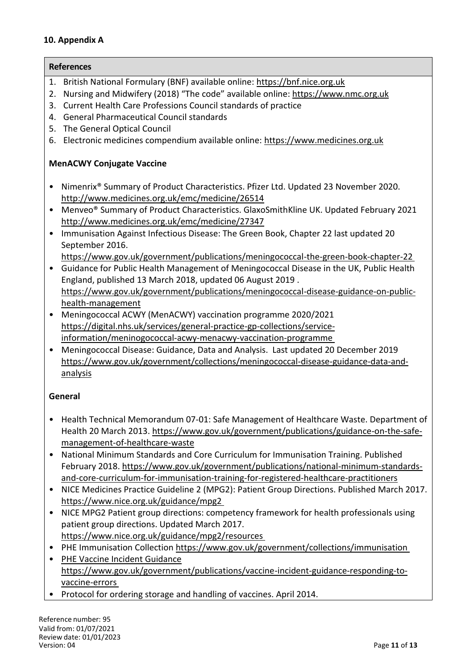#### **10. Appendix A**

**References**

# 1. British National Formulary (BNF) available online: https://bnf.nice.org.uk

- 2. Nursing and Midwifery (2018) "The code" available online: https://www.nmc.org.uk
- 3. Current Health Care Professions Council standards of practice
- 4. General Pharmaceutical Council standards
- 5. The General Optical Council
- 6. Electronic medicines compendium available online: https://www.medicines.org.uk

# **MenACWY Conjugate Vaccine**

- Nimenrix® Summary of Product Characteristics. Pfizer Ltd. Updated 23 November 2020. http://www.medicines.org.uk/emc/medicine/26514
- Menveo® Summary of Product Characteristics. GlaxoSmithKline UK. Updated February 2021 http://www.medicines.org.uk/emc/medicine/27347
- Immunisation Against Infectious Disease: The Green Book, Chapter 22 last updated 20 September 2016.
	- https://www.gov.uk/government/publications/meningococcal-the-green-book-chapter-22
- Guidance for Public Health Management of Meningococcal Disease in the UK, Public Health England, published 13 March 2018, updated 06 August 2019 . https://www.gov.uk/government/publications/meningococcal-disease-guidance-on-publichealth-management
- Meningococcal ACWY (MenACWY) vaccination programme 2020/2021 https://digital.nhs.uk/services/general-practice-gp-collections/serviceinformation/meninogococcal-acwy-menacwy-vaccination-programme
- Meningococcal Disease: Guidance, Data and Analysis. Last updated 20 December 2019 https://www.gov.uk/government/collections/meningococcal-disease-guidance-data-andanalysis

### **General**

- Health Technical Memorandum 07-01: Safe Management of Healthcare Waste. Department of Health 20 March 2013. https://www.gov.uk/government/publications/guidance-on-the-safemanagement-of-healthcare-waste
- National Minimum Standards and Core Curriculum for Immunisation Training. Published February 2018. https://www.gov.uk/government/publications/national-minimum-standardsand-core-curriculum-for-immunisation-training-for-registered-healthcare-practitioners
- NICE Medicines Practice Guideline 2 (MPG2): Patient Group Directions. Published March 2017. https://www.nice.org.uk/guidance/mpg2
- NICE MPG2 Patient group directions: competency framework for health professionals using patient group directions. Updated March 2017. https://www.nice.org.uk/guidance/mpg2/resources
- PHE Immunisation Collection https://www.gov.uk/government/collections/immunisation
- PHE Vaccine Incident Guidance https://www.gov.uk/government/publications/vaccine-incident-guidance-responding-tovaccine-errors
- Protocol for ordering storage and handling of vaccines. April 2014.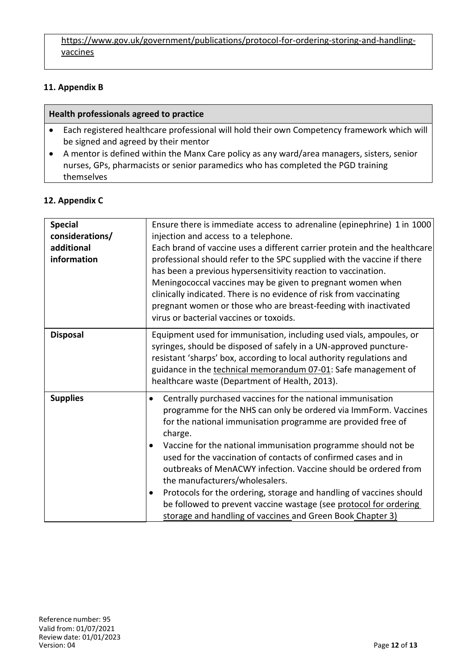https://www.gov.uk/government/publications/protocol-for-ordering-storing-and-handlingvaccines

#### **11. Appendix B**

#### **Health professionals agreed to practice**

- Each registered healthcare professional will hold their own Competency framework which will be signed and agreed by their mentor
- A mentor is defined within the Manx Care policy as any ward/area managers, sisters, senior nurses, GPs, pharmacists or senior paramedics who has completed the PGD training themselves

### **12. Appendix C**

| <b>Special</b><br>considerations/<br>additional<br>information | Ensure there is immediate access to adrenaline (epinephrine) 1 in 1000<br>injection and access to a telephone.<br>Each brand of vaccine uses a different carrier protein and the healthcare<br>professional should refer to the SPC supplied with the vaccine if there<br>has been a previous hypersensitivity reaction to vaccination.<br>Meningococcal vaccines may be given to pregnant women when<br>clinically indicated. There is no evidence of risk from vaccinating<br>pregnant women or those who are breast-feeding with inactivated<br>virus or bacterial vaccines or toxoids.                                                                                          |
|----------------------------------------------------------------|-------------------------------------------------------------------------------------------------------------------------------------------------------------------------------------------------------------------------------------------------------------------------------------------------------------------------------------------------------------------------------------------------------------------------------------------------------------------------------------------------------------------------------------------------------------------------------------------------------------------------------------------------------------------------------------|
| <b>Disposal</b>                                                | Equipment used for immunisation, including used vials, ampoules, or<br>syringes, should be disposed of safely in a UN-approved puncture-<br>resistant 'sharps' box, according to local authority regulations and<br>guidance in the technical memorandum 07-01: Safe management of<br>healthcare waste (Department of Health, 2013).                                                                                                                                                                                                                                                                                                                                                |
| <b>Supplies</b>                                                | Centrally purchased vaccines for the national immunisation<br>$\bullet$<br>programme for the NHS can only be ordered via ImmForm. Vaccines<br>for the national immunisation programme are provided free of<br>charge.<br>Vaccine for the national immunisation programme should not be<br>$\bullet$<br>used for the vaccination of contacts of confirmed cases and in<br>outbreaks of MenACWY infection. Vaccine should be ordered from<br>the manufacturers/wholesalers.<br>Protocols for the ordering, storage and handling of vaccines should<br>be followed to prevent vaccine wastage (see protocol for ordering<br>storage and handling of vaccines and Green Book Chapter 3) |